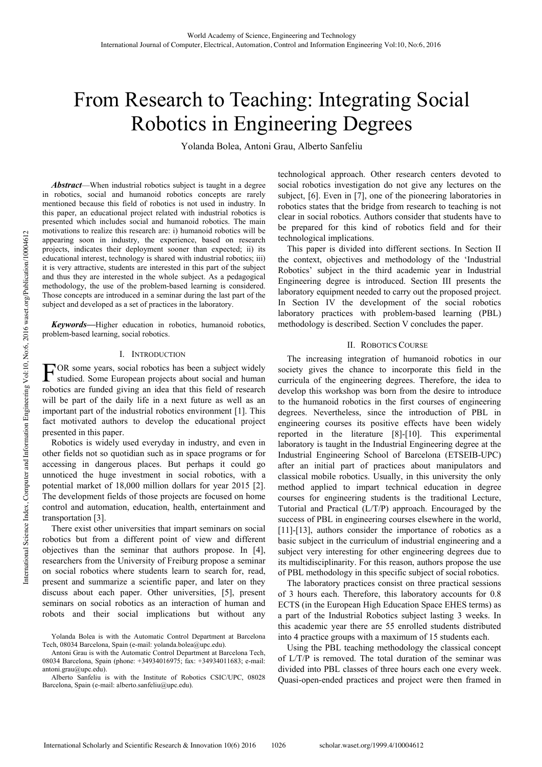# From Research to Teaching: Integrating Social Robotics in Engineering Degrees

Yolanda Bolea, Antoni Grau, Alberto Sanfeliu

*Abstract*—When industrial robotics subject is taught in a degree in robotics, social and humanoid robotics concepts are rarely mentioned because this field of robotics is not used in industry. In this paper, an educational project related with industrial robotics is presented which includes social and humanoid robotics. The main motivations to realize this research are: i) humanoid robotics will be appearing soon in industry, the experience, based on research projects, indicates their deployment sooner than expected; ii) its educational interest, technology is shared with industrial robotics; iii) it is very attractive, students are interested in this part of the subject and thus they are interested in the whole subject. As a pedagogical methodology, the use of the problem-based learning is considered. Those concepts are introduced in a seminar during the last part of the subject and developed as a set of practices in the laboratory.

*Keywords***—**Higher education in robotics, humanoid robotics, problem-based learning, social robotics.

#### I. INTRODUCTION

OR some years, social robotics has been a subject widely studied. Some European projects about social and human robotics are funded giving an idea that this field of research will be part of the daily life in a next future as well as an important part of the industrial robotics environment [1]. This fact motivated authors to develop the educational project presented in this paper. F

Robotics is widely used everyday in industry, and even in other fields not so quotidian such as in space programs or for accessing in dangerous places. But perhaps it could go unnoticed the huge investment in social robotics, with a potential market of 18,000 million dollars for year 2015 [2]. The development fields of those projects are focused on home control and automation, education, health, entertainment and transportation [3].

There exist other universities that impart seminars on social robotics but from a different point of view and different objectives than the seminar that authors propose. In [4], researchers from the University of Freiburg propose a seminar on social robotics where students learn to search for, read, present and summarize a scientific paper, and later on they discuss about each paper. Other universities, [5], present seminars on social robotics as an interaction of human and robots and their social implications but without any

technological approach. Other research centers devoted to social robotics investigation do not give any lectures on the subject, [6]. Even in [7], one of the pioneering laboratories in robotics states that the bridge from research to teaching is not clear in social robotics. Authors consider that students have to be prepared for this kind of robotics field and for their technological implications.

This paper is divided into different sections. In Section II the context, objectives and methodology of the 'Industrial Robotics' subject in the third academic year in Industrial Engineering degree is introduced. Section III presents the laboratory equipment needed to carry out the proposed project. In Section IV the development of the social robotics laboratory practices with problem-based learning (PBL) methodology is described. Section V concludes the paper.

#### II. ROBOTICS COURSE

The increasing integration of humanoid robotics in our society gives the chance to incorporate this field in the curricula of the engineering degrees. Therefore, the idea to develop this workshop was born from the desire to introduce to the humanoid robotics in the first courses of engineering degrees. Nevertheless, since the introduction of PBL in engineering courses its positive effects have been widely reported in the literature [8]-[10]. This experimental laboratory is taught in the Industrial Engineering degree at the Industrial Engineering School of Barcelona (ETSEIB-UPC) after an initial part of practices about manipulators and classical mobile robotics. Usually, in this university the only method applied to impart technical education in degree courses for engineering students is the traditional Lecture, Tutorial and Practical (L/T/P) approach. Encouraged by the success of PBL in engineering courses elsewhere in the world, [11]-[13], authors consider the importance of robotics as a basic subject in the curriculum of industrial engineering and a subject very interesting for other engineering degrees due to its multidisciplinarity. For this reason, authors propose the use of PBL methodology in this specific subject of social robotics.

The laboratory practices consist on three practical sessions of 3 hours each. Therefore, this laboratory accounts for 0.8 ECTS (in the European High Education Space EHES terms) as a part of the Industrial Robotics subject lasting 3 weeks. In this academic year there are 55 enrolled students distributed into 4 practice groups with a maximum of 15 students each.

Using the PBL teaching methodology the classical concept of L/T/P is removed. The total duration of the seminar was divided into PBL classes of three hours each one every week. Quasi-open-ended practices and project were then framed in

Yolanda Bolea is with the Automatic Control Department at Barcelona Tech, 08034 Barcelona, Spain (e-mail: yolanda.bolea@upc.edu).

Antoni Grau is with the Automatic Control Department at Barcelona Tech, 08034 Barcelona, Spain (phone: +34934016975; fax: +34934011683; e-mail: antoni.grau@upc.edu).

Alberto Sanfeliu is with the Institute of Robotics CSIC/UPC, 08028 Barcelona, Spain (e-mail: alberto.sanfeliu@upc.edu).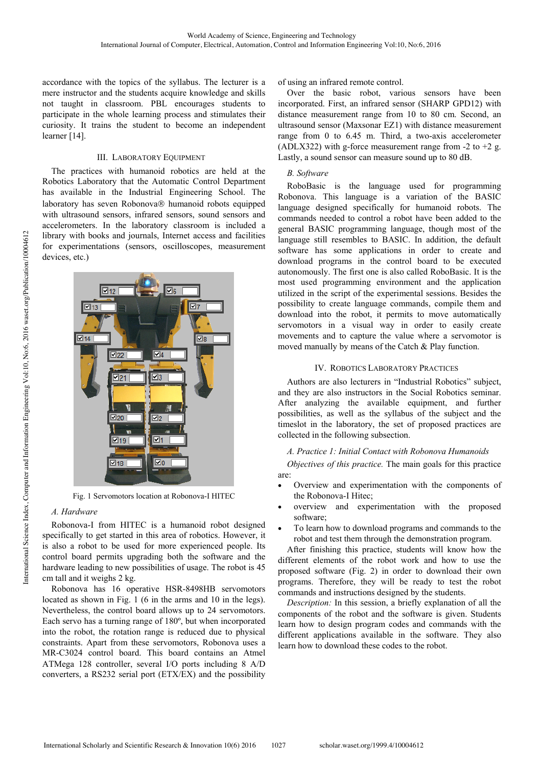accordance with the topics of the syllabus. The lecturer is a mere instructor and the students acquire knowledge and skills not taught in classroom. PBL encourages students to participate in the whole learning process and stimulates their curiosity. It trains the student to become an independent learner [14].

#### III. LABORATORY EQUIPMENT

The practices with humanoid robotics are held at the Robotics Laboratory that the Automatic Control Department has available in the Industrial Engineering School. The laboratory has seven Robonova® humanoid robots equipped with ultrasound sensors, infrared sensors, sound sensors and accelerometers. In the laboratory classroom is included a library with books and journals, Internet access and facilities for experimentations (sensors, oscilloscopes, measurement devices, etc.)



Fig. 1 Servomotors location at Robonova-I HITEC

## *A. Hardware*

Robonova-I from HITEC is a humanoid robot designed specifically to get started in this area of robotics. However, it is also a robot to be used for more experienced people. Its control board permits upgrading both the software and the hardware leading to new possibilities of usage. The robot is 45 cm tall and it weighs 2 kg.

Robonova has 16 operative HSR-8498HB servomotors located as shown in Fig. 1 (6 in the arms and 10 in the legs). Nevertheless, the control board allows up to 24 servomotors. Each servo has a turning range of 180º, but when incorporated into the robot, the rotation range is reduced due to physical constraints. Apart from these servomotors, Robonova uses a MR-C3024 control board. This board contains an Atmel ATMega 128 controller, several I/O ports including 8 A/D converters, a RS232 serial port (ETX/EX) and the possibility

of using an infrared remote control.

Over the basic robot, various sensors have been incorporated. First, an infrared sensor (SHARP GPD12) with distance measurement range from 10 to 80 cm. Second, an ultrasound sensor (Maxsonar EZ1) with distance measurement range from 0 to 6.45 m. Third, a two-axis accelerometer (ADLX322) with g-force measurement range from -2 to +2 g. Lastly, a sound sensor can measure sound up to 80 dB.

## *B. Software*

RoboBasic is the language used for programming Robonova. This language is a variation of the BASIC language designed specifically for humanoid robots. The commands needed to control a robot have been added to the general BASIC programming language, though most of the language still resembles to BASIC. In addition, the default software has some applications in order to create and download programs in the control board to be executed autonomously. The first one is also called RoboBasic. It is the most used programming environment and the application utilized in the script of the experimental sessions. Besides the possibility to create language commands, compile them and download into the robot, it permits to move automatically servomotors in a visual way in order to easily create movements and to capture the value where a servomotor is moved manually by means of the Catch & Play function.

## IV. ROBOTICS LABORATORY PRACTICES

Authors are also lecturers in "Industrial Robotics" subject, and they are also instructors in the Social Robotics seminar. After analyzing the available equipment, and further possibilities, as well as the syllabus of the subject and the timeslot in the laboratory, the set of proposed practices are collected in the following subsection.

## *A. Practice 1: Initial Contact with Robonova Humanoids*

*Objectives of this practice.* The main goals for this practice are:

- Overview and experimentation with the components of the Robonova-I Hitec;
- x overview and experimentation with the proposed software;
- To learn how to download programs and commands to the robot and test them through the demonstration program.

After finishing this practice, students will know how the different elements of the robot work and how to use the proposed software (Fig. 2) in order to download their own programs. Therefore, they will be ready to test the robot commands and instructions designed by the students.

*Description:* In this session, a briefly explanation of all the components of the robot and the software is given. Students learn how to design program codes and commands with the different applications available in the software. They also learn how to download these codes to the robot.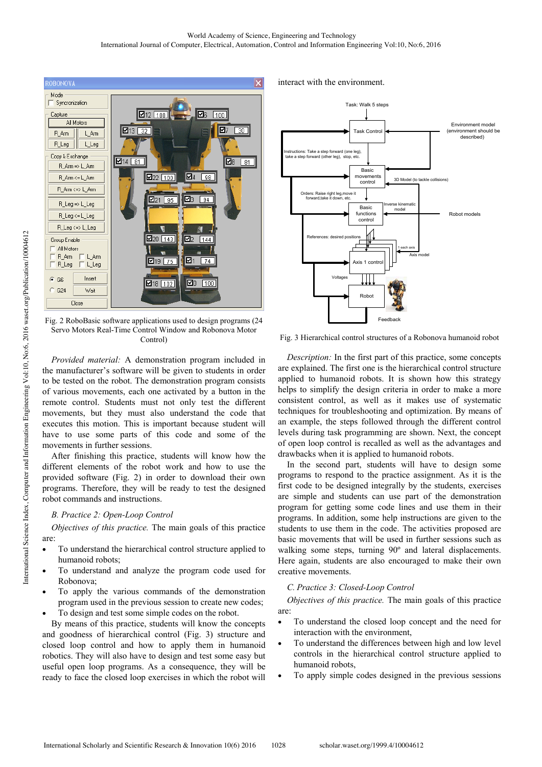

Fig. 2 RoboBasic software applications used to design programs (24 Servo Motors Real-Time Control Window and Robonova Motor Control)

*Provided material:* A demonstration program included in the manufacturer's software will be given to students in order to be tested on the robot. The demonstration program consists of various movements, each one activated by a button in the remote control. Students must not only test the different movements, but they must also understand the code that executes this motion. This is important because student will have to use some parts of this code and some of the movements in further sessions.

After finishing this practice, students will know how the different elements of the robot work and how to use the provided software (Fig. 2) in order to download their own programs. Therefore, they will be ready to test the designed robot commands and instructions.

#### *B. Practice 2: Open-Loop Control*

*Objectives of this practice.* The main goals of this practice are:

- To understand the hierarchical control structure applied to humanoid robots;
- To understand and analyze the program code used for Robonova;
- To apply the various commands of the demonstration program used in the previous session to create new codes;
- To design and test some simple codes on the robot.

By means of this practice, students will know the concepts and goodness of hierarchical control (Fig. 3) structure and closed loop control and how to apply them in humanoid robotics. They will also have to design and test some easy but useful open loop programs. As a consequence, they will be ready to face the closed loop exercises in which the robot will

interact with the environment.



Fig. 3 Hierarchical control structures of a Robonova humanoid robot

*Description:* In the first part of this practice, some concepts are explained. The first one is the hierarchical control structure applied to humanoid robots. It is shown how this strategy helps to simplify the design criteria in order to make a more consistent control, as well as it makes use of systematic techniques for troubleshooting and optimization. By means of an example, the steps followed through the different control levels during task programming are shown. Next, the concept of open loop control is recalled as well as the advantages and drawbacks when it is applied to humanoid robots.

In the second part, students will have to design some programs to respond to the practice assignment. As it is the first code to be designed integrally by the students, exercises are simple and students can use part of the demonstration program for getting some code lines and use them in their programs. In addition, some help instructions are given to the students to use them in the code. The activities proposed are basic movements that will be used in further sessions such as walking some steps, turning 90º and lateral displacements. Here again, students are also encouraged to make their own creative movements.

## *C. Practice 3: Closed-Loop Control*

*Objectives of this practice.* The main goals of this practice are:

- To understand the closed loop concept and the need for interaction with the environment,
- To understand the differences between high and low level controls in the hierarchical control structure applied to humanoid robots,
- To apply simple codes designed in the previous sessions